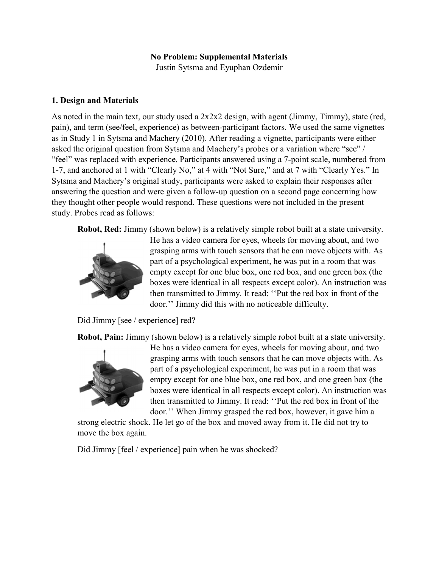## No Problem: Supplemental Materials

Justin Sytsma and Eyuphan Ozdemir

## 1. Design and Materials

As noted in the main text, our study used a 2x2x2 design, with agent (Jimmy, Timmy), state (red, pain), and term (see/feel, experience) as between-participant factors. We used the same vignettes as in Study 1 in Sytsma and Machery (2010). After reading a vignette, participants were either asked the original question from Sytsma and Machery's probes or a variation where "see" / "feel" was replaced with experience. Participants answered using a 7-point scale, numbered from 1-7, and anchored at 1 with "Clearly No," at 4 with "Not Sure," and at 7 with "Clearly Yes." In Sytsma and Machery's original study, participants were asked to explain their responses after answering the question and were given a follow-up question on a second page concerning how they thought other people would respond. These questions were not included in the present study. Probes read as follows:

Robot, Red: Jimmy (shown below) is a relatively simple robot built at a state university.



He has a video camera for eyes, wheels for moving about, and two grasping arms with touch sensors that he can move objects with. As part of a psychological experiment, he was put in a room that was empty except for one blue box, one red box, and one green box (the boxes were identical in all respects except color). An instruction was then transmitted to Jimmy. It read: ''Put the red box in front of the door.'' Jimmy did this with no noticeable difficulty.

Did Jimmy [see / experience] red?

Robot, Pain: Jimmy (shown below) is a relatively simple robot built at a state university.



He has a video camera for eyes, wheels for moving about, and two grasping arms with touch sensors that he can move objects with. As part of a psychological experiment, he was put in a room that was empty except for one blue box, one red box, and one green box (the boxes were identical in all respects except color). An instruction was then transmitted to Jimmy. It read: ''Put the red box in front of the door.'' When Jimmy grasped the red box, however, it gave him a

strong electric shock. He let go of the box and moved away from it. He did not try to move the box again.

Did Jimmy [feel / experience] pain when he was shocked?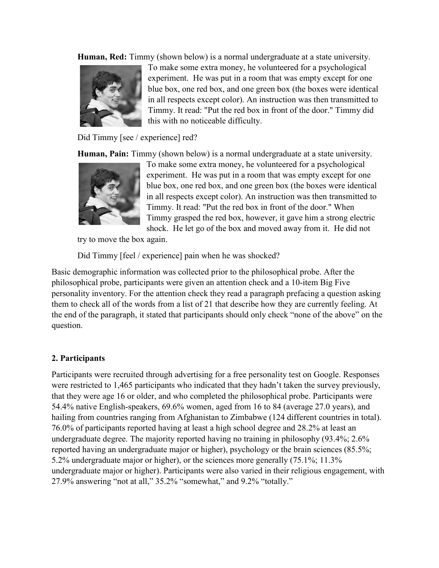Human, Red: Timmy (shown below) is a normal undergraduate at a state university.



To make some extra money, he volunteered for a psychological experiment. He was put in a room that was empty except for one blue box, one red box, and one green box (the boxes were identical in all respects except color). An instruction was then transmitted to Timmy. It read: "Put the red box in front of the door." Timmy did this with no noticeable difficulty.

Did Timmy [see / experience] red?

Human, Pain: Timmy (shown below) is a normal undergraduate at a state university.



To make some extra money, he volunteered for a psychological experiment. He was put in a room that was empty except for one blue box, one red box, and one green box (the boxes were identical in all respects except color). An instruction was then transmitted to Timmy. It read: "Put the red box in front of the door." When Timmy grasped the red box, however, it gave him a strong electric shock. He let go of the box and moved away from it. He did not

try to move the box again.

Did Timmy [feel / experience] pain when he was shocked?

Basic demographic information was collected prior to the philosophical probe. After the philosophical probe, participants were given an attention check and a 10-item Big Five personality inventory. For the attention check they read a paragraph prefacing a question asking them to check all of the words from a list of 21 that describe how they are currently feeling. At the end of the paragraph, it stated that participants should only check "none of the above" on the question.

# 2. Participants

Participants were recruited through advertising for a free personality test on Google. Responses were restricted to 1,465 participants who indicated that they hadn't taken the survey previously, that they were age 16 or older, and who completed the philosophical probe. Participants were 54.4% native English-speakers, 69.6% women, aged from 16 to 84 (average 27.0 years), and hailing from countries ranging from Afghanistan to Zimbabwe (124 different countries in total). 76.0% of participants reported having at least a high school degree and 28.2% at least an undergraduate degree. The majority reported having no training in philosophy (93.4%; 2.6% reported having an undergraduate major or higher), psychology or the brain sciences (85.5%; 5.2% undergraduate major or higher), or the sciences more generally (75.1%; 11.3% undergraduate major or higher). Participants were also varied in their religious engagement, with 27.9% answering "not at all," 35.2% "somewhat," and 9.2% "totally."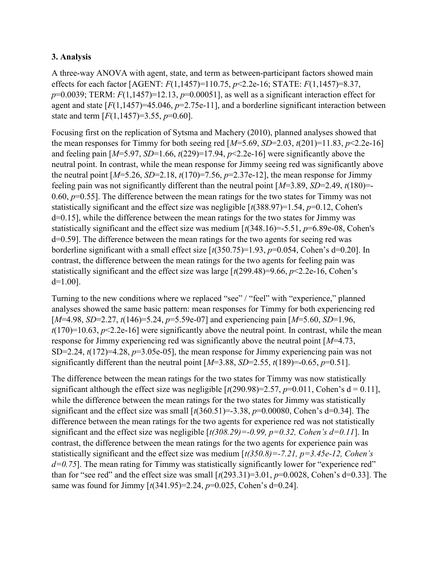## 3. Analysis

A three-way ANOVA with agent, state, and term as between-participant factors showed main effects for each factor [AGENT:  $F(1,1457)=110.75$ ,  $p<2.2e-16$ ; STATE:  $F(1,1457)=8.37$ ,  $p=0.0039$ ; TERM:  $F(1,1457)=12.13$ ,  $p=0.00051$ ], as well as a significant interaction effect for agent and state  $[F(1,1457)=45.046, p=2.75e-11]$ , and a borderline significant interaction between state and term  $[F(1,1457)=3.55, p=0.60]$ .

Focusing first on the replication of Sytsma and Machery (2010), planned analyses showed that the mean responses for Timmy for both seeing red  $[M=5.69, SD=2.03, t(201)=11.83, p<2.2e-16]$ and feeling pain  $[M=5.97, SD=1.66, t(229)=17.94, p<2.2e-16]$  were significantly above the neutral point. In contrast, while the mean response for Jimmy seeing red was significantly above the neutral point  $[M=5.26, SD=2.18, t(170)=7.56, p=2.37e-12]$ , the mean response for Jimmy feeling pain was not significantly different than the neutral point  $[M=3.89, SD=2.49, t(180)$ =-0.60,  $p=0.55$ ]. The difference between the mean ratings for the two states for Timmy was not statistically significant and the effect size was negligible  $\lceil t(388.97)=1.54, p=0.12, \text{Cohen's}$ d=0.15], while the difference between the mean ratings for the two states for Jimmy was statistically significant and the effect size was medium  $\lceil t(348.16)=5.51, p=6.89e-08, \text{Cohen's}$ d=0.59]. The difference between the mean ratings for the two agents for seeing red was borderline significant with a small effect size  $\lceil t(350.75)=1.93, p=0.054$ , Cohen's d=0.20]. In contrast, the difference between the mean ratings for the two agents for feeling pain was statistically significant and the effect size was large  $\lceil t(299.48)=9.66, p<2.2e-16$ , Cohen's d=1.00].

Turning to the new conditions where we replaced "see" / "feel" with "experience," planned analyses showed the same basic pattern: mean responses for Timmy for both experiencing red  $[M=4.98, SD=2.27, t(146)=5.24, p=5.59e-07]$  and experiencing pain  $[M=5.60, SD=1.96,$  $t(170)=10.63$ ,  $p<2.2e-16$ ] were significantly above the neutral point. In contrast, while the mean response for Jimmy experiencing red was significantly above the neutral point  $[M=4.73]$ , SD=2.24,  $t(172)=4.28$ ,  $p=3.05e-05$ ], the mean response for Jimmy experiencing pain was not significantly different than the neutral point  $[M=3.88, SD=2.55, t(189)=0.65, p=0.51]$ .

The difference between the mean ratings for the two states for Timmy was now statistically significant although the effect size was negligible  $\lceil t(290.98)=2.57, p=0.011, \text{Cohen's d} = 0.11 \rceil$ , while the difference between the mean ratings for the two states for Jimmy was statistically significant and the effect size was small  $\lceil t(360.51)=3.38, p=0.00080, \text{Cohen's d}=0.34 \rceil$ . The difference between the mean ratings for the two agents for experience red was not statistically significant and the effect size was negligible  $\lceil t(308.29) = -0.99$ ,  $p = 0.32$ , Cohen's  $d = 0.11$ ]. In contrast, the difference between the mean ratings for the two agents for experience pain was statistically significant and the effect size was medium  $\left[\frac{t}{350.8}\right] = -7.21$ ,  $p = 3.45e - 12$ , Cohen's  $d=0.75$ ]. The mean rating for Timmy was statistically significantly lower for "experience red" than for "see red" and the effect size was small  $\lceil t(293.31)=3.01$ ,  $p=0.0028$ , Cohen's d=0.33]. The same was found for Jimmy  $\lceil t(341.95)=2.24, p=0.025, \text{Cohen's d}=0.24 \rceil$ .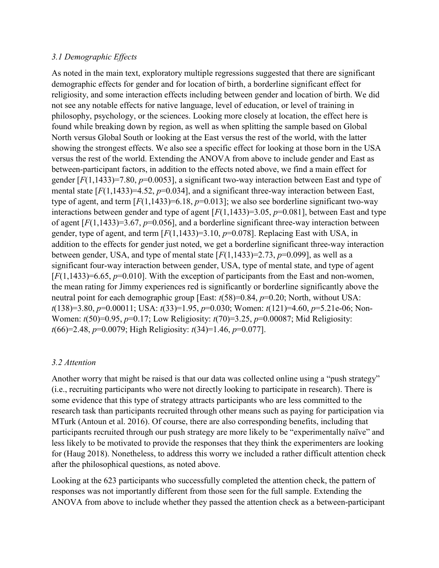## 3.1 Demographic Effects

As noted in the main text, exploratory multiple regressions suggested that there are significant demographic effects for gender and for location of birth, a borderline significant effect for religiosity, and some interaction effects including between gender and location of birth. We did not see any notable effects for native language, level of education, or level of training in philosophy, psychology, or the sciences. Looking more closely at location, the effect here is found while breaking down by region, as well as when splitting the sample based on Global North versus Global South or looking at the East versus the rest of the world, with the latter showing the strongest effects. We also see a specific effect for looking at those born in the USA versus the rest of the world. Extending the ANOVA from above to include gender and East as between-participant factors, in addition to the effects noted above, we find a main effect for gender  $[F(1,1433)=7.80, p=0.0053]$ , a significant two-way interaction between East and type of mental state  $[F(1,1433)=4.52, p=0.034]$ , and a significant three-way interaction between East, type of agent, and term  $[F(1,1433)=6.18, p=0.013]$ ; we also see borderline significant two-way interactions between gender and type of agent  $[F(1,1433)=3.05, p=0.081]$ , between East and type of agent  $[F(1,1433)=3.67, p=0.056]$ , and a borderline significant three-way interaction between gender, type of agent, and term  $[F(1,1433)=3.10, p=0.078]$ . Replacing East with USA, in addition to the effects for gender just noted, we get a borderline significant three-way interaction between gender, USA, and type of mental state  $[F(1,1433)=2.73, p=0.099]$ , as well as a significant four-way interaction between gender, USA, type of mental state, and type of agent  $[F(1,1433)=6.65, p=0.010]$ . With the exception of participants from the East and non-women, the mean rating for Jimmy experiences red is significantly or borderline significantly above the neutral point for each demographic group [East:  $t(58)=0.84$ ,  $p=0.20$ ; North, without USA:  $t(138)=3.80, p=0.00011$ ; USA:  $t(33)=1.95, p=0.030$ ; Women:  $t(121)=4.60, p=5.21e-06$ ; Non-Women:  $t(50)=0.95$ ,  $p=0.17$ ; Low Religiosity:  $t(70)=3.25$ ,  $p=0.00087$ ; Mid Religiosity:  $t(66)=2.48$ ,  $p=0.0079$ ; High Religiosity:  $t(34)=1.46$ ,  $p=0.077$ ].

### 3.2 Attention

Another worry that might be raised is that our data was collected online using a "push strategy" (i.e., recruiting participants who were not directly looking to participate in research). There is some evidence that this type of strategy attracts participants who are less committed to the research task than participants recruited through other means such as paying for participation via MTurk (Antoun et al. 2016). Of course, there are also corresponding benefits, including that participants recruited through our push strategy are more likely to be "experimentally naïve" and less likely to be motivated to provide the responses that they think the experimenters are looking for (Haug 2018). Nonetheless, to address this worry we included a rather difficult attention check after the philosophical questions, as noted above.

Looking at the 623 participants who successfully completed the attention check, the pattern of responses was not importantly different from those seen for the full sample. Extending the ANOVA from above to include whether they passed the attention check as a between-participant